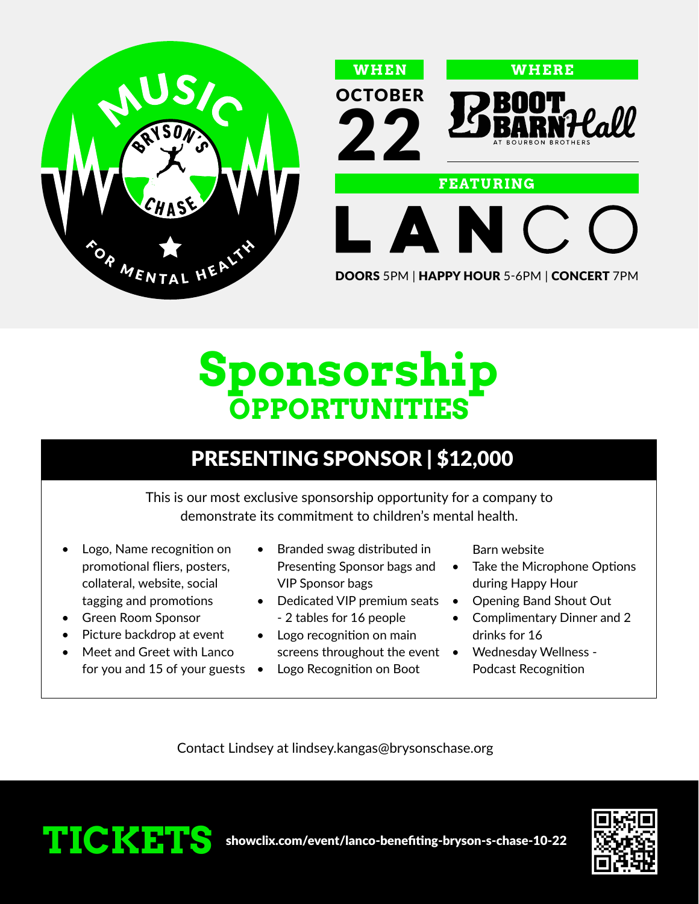



DOORS 5PM | HAPPY HOUR 5-6PM | CONCERT 7PM

## **Sponsorship OPPORTUNITIES**

### PRESENTING SPONSOR | \$12,000

This is our most exclusive sponsorship opportunity for a company to demonstrate its commitment to children's mental health.

- Logo, Name recognition on promotional fliers, posters, collateral, website, social tagging and promotions
- Green Room Sponsor
- Picture backdrop at event
- Meet and Greet with Lanco for you and 15 of your guests  $\bullet$
- Branded swag distributed in Presenting Sponsor bags and VIP Sponsor bags
- Dedicated VIP premium seats - 2 tables for 16 people
- Logo recognition on main
- screens throughout the event  $\bullet$ 
	- Logo Recognition on Boot

Barn website

- Take the Microphone Options during Happy Hour
- Opening Band Shout Out
- Complimentary Dinner and 2 drinks for 16
- Wednesday Wellness Podcast Recognition

Contact Lindsey at lindsey.kangas@brysonschase.org